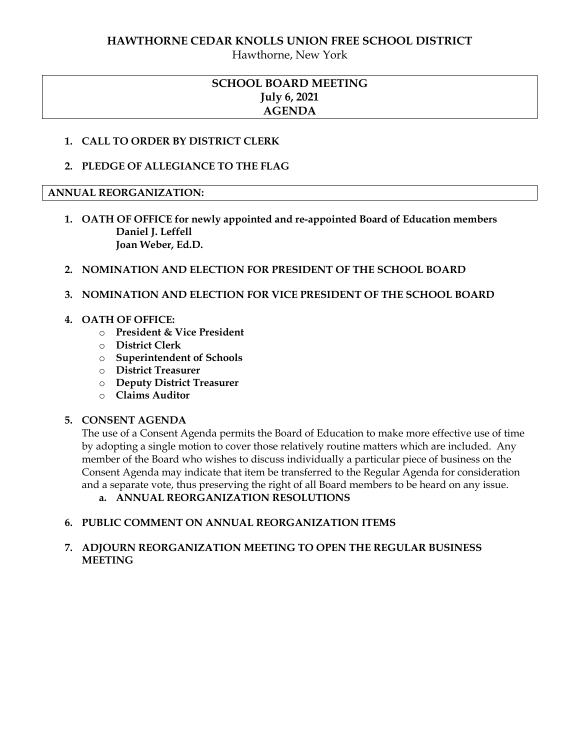# **HAWTHORNE CEDAR KNOLLS UNION FREE SCHOOL DISTRICT**

Hawthorne, New York

# **SCHOOL BOARD MEETING July 6, 2021 AGENDA**

# **1. CALL TO ORDER BY DISTRICT CLERK**

**2. PLEDGE OF ALLEGIANCE TO THE FLAG**

# **ANNUAL REORGANIZATION:**

- **1. OATH OF OFFICE for newly appointed and re-appointed Board of Education members Daniel J. Leffell Joan Weber, Ed.D.**
- **2. NOMINATION AND ELECTION FOR PRESIDENT OF THE SCHOOL BOARD**

# **3. NOMINATION AND ELECTION FOR VICE PRESIDENT OF THE SCHOOL BOARD**

# **4. OATH OF OFFICE:**

- o **President & Vice President**
- o **District Clerk**
- o **Superintendent of Schools**
- o **District Treasurer**
- o **Deputy District Treasurer**
- o **Claims Auditor**

# **5. CONSENT AGENDA**

The use of a Consent Agenda permits the Board of Education to make more effective use of time by adopting a single motion to cover those relatively routine matters which are included. Any member of the Board who wishes to discuss individually a particular piece of business on the Consent Agenda may indicate that item be transferred to the Regular Agenda for consideration and a separate vote, thus preserving the right of all Board members to be heard on any issue.

**a. ANNUAL REORGANIZATION RESOLUTIONS**

# **6. PUBLIC COMMENT ON ANNUAL REORGANIZATION ITEMS**

# **7. ADJOURN REORGANIZATION MEETING TO OPEN THE REGULAR BUSINESS MEETING**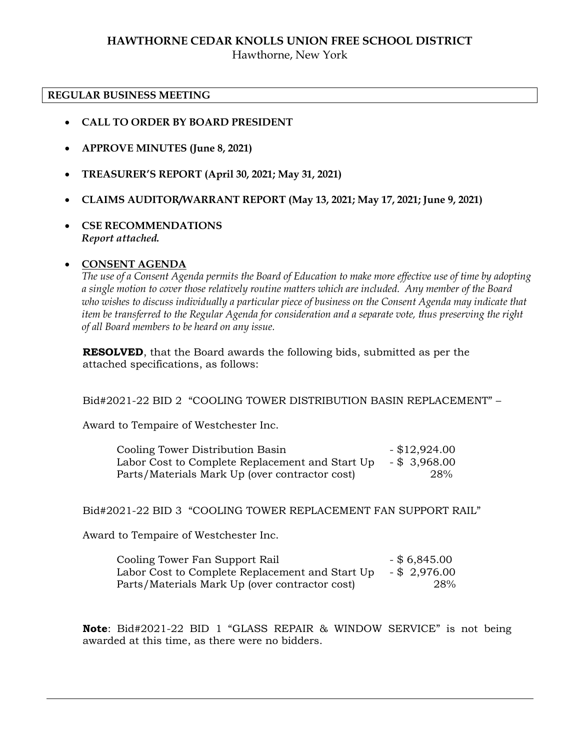# **HAWTHORNE CEDAR KNOLLS UNION FREE SCHOOL DISTRICT** Hawthorne, New York

#### **REGULAR BUSINESS MEETING**

- **CALL TO ORDER BY BOARD PRESIDENT**
- **APPROVE MINUTES (June 8, 2021)**
- **TREASURER'S REPORT (April 30, 2021; May 31, 2021)**
- **CLAIMS AUDITOR/WARRANT REPORT (May 13, 2021; May 17, 2021; June 9, 2021)**
- **CSE RECOMMENDATIONS** *Report attached.*

#### **CONSENT AGENDA**

*The use of a Consent Agenda permits the Board of Education to make more effective use of time by adopting a single motion to cover those relatively routine matters which are included. Any member of the Board who wishes to discuss individually a particular piece of business on the Consent Agenda may indicate that item be transferred to the Regular Agenda for consideration and a separate vote, thus preserving the right of all Board members to be heard on any issue.* 

**RESOLVED**, that the Board awards the following bids, submitted as per the attached specifications, as follows:

Bid#2021-22 BID 2 "COOLING TOWER DISTRIBUTION BASIN REPLACEMENT" –

Award to Tempaire of Westchester Inc.

| Cooling Tower Distribution Basin                | $-$ \$12,924.00 |
|-------------------------------------------------|-----------------|
| Labor Cost to Complete Replacement and Start Up | $-$ \$ 3,968.00 |
| Parts/Materials Mark Up (over contractor cost)  | 28%             |

#### Bid#2021-22 BID 3 "COOLING TOWER REPLACEMENT FAN SUPPORT RAIL"

Award to Tempaire of Westchester Inc.

Cooling Tower Fan Support Rail - \$ 6,845.00 Labor Cost to Complete Replacement and Start Up - \$ 2,976.00 Parts/Materials Mark Up (over contractor cost) 28%

**Note**: Bid#2021-22 BID 1 "GLASS REPAIR & WINDOW SERVICE" is not being awarded at this time, as there were no bidders.